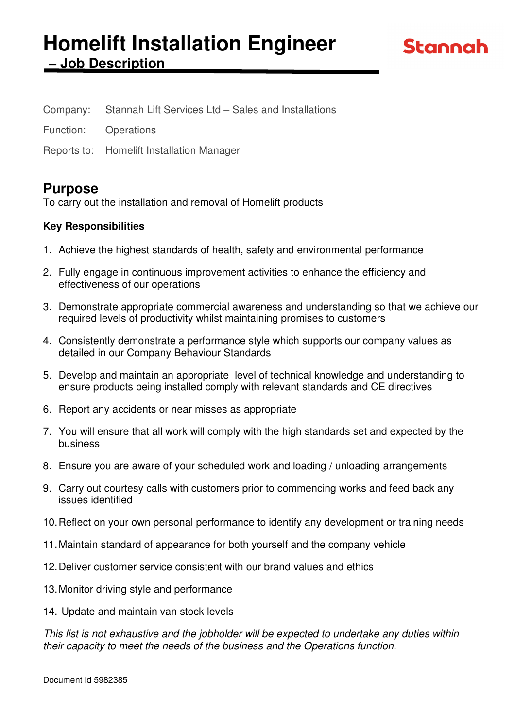# **Homelift Installation Engineer – Job Description**

| Company:<br>Stannah Lift Services Ltd - Sales and Installations |
|-----------------------------------------------------------------|
|-----------------------------------------------------------------|

Function: Operations

Reports to: Homelift Installation Manager

# **Purpose**

To carry out the installation and removal of Homelift products

# **Key Responsibilities**

- 1. Achieve the highest standards of health, safety and environmental performance
- 2. Fully engage in continuous improvement activities to enhance the efficiency and effectiveness of our operations
- 3. Demonstrate appropriate commercial awareness and understanding so that we achieve our required levels of productivity whilst maintaining promises to customers
- 4. Consistently demonstrate a performance style which supports our company values as detailed in our Company Behaviour Standards
- 5. Develop and maintain an appropriate level of technical knowledge and understanding to ensure products being installed comply with relevant standards and CE directives
- 6. Report any accidents or near misses as appropriate
- 7. You will ensure that all work will comply with the high standards set and expected by the business
- 8. Ensure you are aware of your scheduled work and loading / unloading arrangements
- 9. Carry out courtesy calls with customers prior to commencing works and feed back any issues identified
- 10. Reflect on your own personal performance to identify any development or training needs
- 11. Maintain standard of appearance for both yourself and the company vehicle
- 12. Deliver customer service consistent with our brand values and ethics
- 13. Monitor driving style and performance
- 14. Update and maintain van stock levels

This list is not exhaustive and the jobholder will be expected to undertake any duties within their capacity to meet the needs of the business and the Operations function.